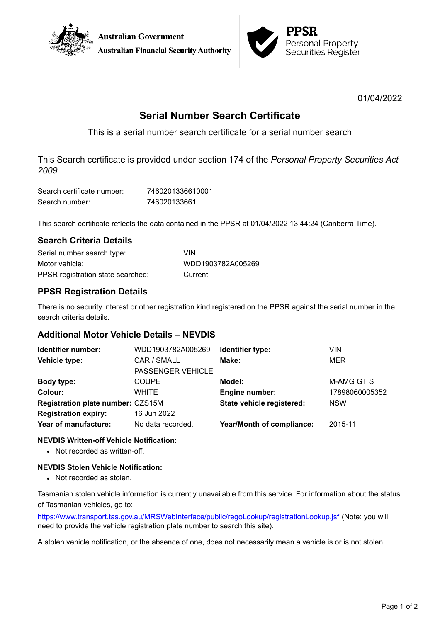



01/04/2022

# **Serial Number Search Certificate**

This is a serial number search certificate for a serial number search

This Search certificate is provided under section 174 of the *Personal Property Securities Act 2009*

| Search certificate number: | 7460201336610001 |
|----------------------------|------------------|
| Search number:             | 746020133661     |

This search certificate reflects the data contained in the PPSR at 01/04/2022 13:44:24 (Canberra Time).

# **Search Criteria Details**

| Serial number search type:        | VIN               |
|-----------------------------------|-------------------|
| Motor vehicle:                    | WDD1903782A005269 |
| PPSR registration state searched: | Current           |

# **PPSR Registration Details**

There is no security interest or other registration kind registered on the PPSR against the serial number in the search criteria details.

# **Additional Motor Vehicle Details – NEVDIS**

| Identifier number:                | WDD1903782A005269        | Identifier type:                 | VIN            |
|-----------------------------------|--------------------------|----------------------------------|----------------|
| Vehicle type:                     | CAR / SMALL              | Make:                            | <b>MER</b>     |
|                                   | <b>PASSENGER VEHICLE</b> |                                  |                |
| Body type:                        | <b>COUPE</b>             | Model:                           | M-AMG GT S     |
| Colour:                           | WHITE                    | Engine number:                   | 17898060005352 |
| Registration plate number: CZS15M |                          | State vehicle registered:        | <b>NSW</b>     |
| <b>Registration expiry:</b>       | 16 Jun 2022              |                                  |                |
| Year of manufacture:              | No data recorded.        | <b>Year/Month of compliance:</b> | 2015-11        |

### **NEVDIS Written-off Vehicle Notification:**

• Not recorded as written-off.

### **NEVDIS Stolen Vehicle Notification:**

• Not recorded as stolen.

Tasmanian stolen vehicle information is currently unavailable from this service. For information about the status of Tasmanian vehicles, go to:

<https://www.transport.tas.gov.au/MRSWebInterface/public/regoLookup/registrationLookup.jsf> (Note: you will need to provide the vehicle registration plate number to search this site).

A stolen vehicle notification, or the absence of one, does not necessarily mean a vehicle is or is not stolen.